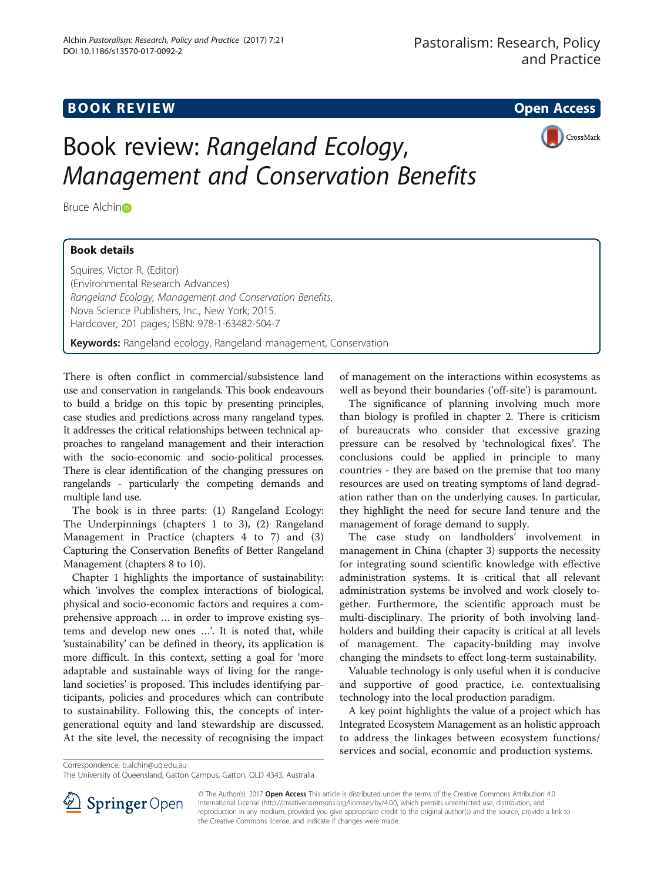CrossMark

## Book review: Rangeland Ecology, Management and Conservation Benefits

Bruce Alchi[n](http://orcid.org/0000-0003-4805-4115)o

## Book details

Squires, Victor R. (Editor) (Environmental Research Advances) Rangeland Ecology, Management and Conservation Benefits. Nova Science Publishers, Inc., New York; 2015. Hardcover, 201 pages; ISBN: 978-1-63482-504-7

Keywords: Rangeland ecology, Rangeland management, Conservation

There is often conflict in commercial/subsistence land use and conservation in rangelands. This book endeavours to build a bridge on this topic by presenting principles, case studies and predictions across many rangeland types. It addresses the critical relationships between technical approaches to rangeland management and their interaction with the socio-economic and socio-political processes. There is clear identification of the changing pressures on rangelands - particularly the competing demands and multiple land use.

The book is in three parts: (1) Rangeland Ecology: The Underpinnings (chapters 1 to 3), (2) Rangeland Management in Practice (chapters 4 to 7) and (3) Capturing the Conservation Benefits of Better Rangeland Management (chapters 8 to 10).

Chapter 1 highlights the importance of sustainability: which 'involves the complex interactions of biological, physical and socio-economic factors and requires a comprehensive approach … in order to improve existing systems and develop new ones …'. It is noted that, while 'sustainability' can be defined in theory, its application is more difficult. In this context, setting a goal for 'more adaptable and sustainable ways of living for the rangeland societies' is proposed. This includes identifying participants, policies and procedures which can contribute to sustainability. Following this, the concepts of intergenerational equity and land stewardship are discussed. At the site level, the necessity of recognising the impact

of management on the interactions within ecosystems as well as beyond their boundaries ('off-site') is paramount.

The significance of planning involving much more than biology is profiled in chapter 2. There is criticism of bureaucrats who consider that excessive grazing pressure can be resolved by 'technological fixes'. The conclusions could be applied in principle to many countries - they are based on the premise that too many resources are used on treating symptoms of land degradation rather than on the underlying causes. In particular, they highlight the need for secure land tenure and the management of forage demand to supply.

The case study on landholders' involvement in management in China (chapter 3) supports the necessity for integrating sound scientific knowledge with effective administration systems. It is critical that all relevant administration systems be involved and work closely together. Furthermore, the scientific approach must be multi-disciplinary. The priority of both involving landholders and building their capacity is critical at all levels of management. The capacity-building may involve changing the mindsets to effect long-term sustainability.

Valuable technology is only useful when it is conducive and supportive of good practice, i.e. contextualising technology into the local production paradigm.

A key point highlights the value of a project which has Integrated Ecosystem Management as an holistic approach to address the linkages between ecosystem functions/ services and social, economic and production systems.

Correspondence: [b.alchin@uq.edu.au](mailto:b.alchin@uq.edu.au)

The University of Queensland, Gatton Campus, Gatton, QLD 4343, Australia



© The Author(s). 2017 **Open Access** This article is distributed under the terms of the Creative Commons Attribution 4.0 International License ([http://creativecommons.org/licenses/by/4.0/\)](http://creativecommons.org/licenses/by/4.0/), which permits unrestricted use, distribution, and reproduction in any medium, provided you give appropriate credit to the original author(s) and the source, provide a link to the Creative Commons license, and indicate if changes were made.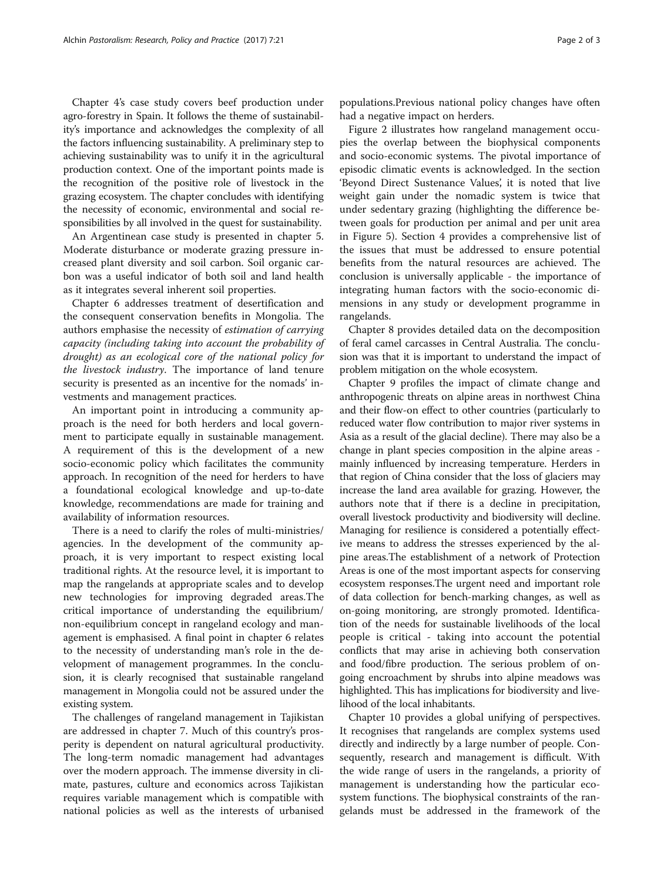Chapter 4's case study covers beef production under agro-forestry in Spain. It follows the theme of sustainability's importance and acknowledges the complexity of all the factors influencing sustainability. A preliminary step to achieving sustainability was to unify it in the agricultural production context. One of the important points made is the recognition of the positive role of livestock in the grazing ecosystem. The chapter concludes with identifying the necessity of economic, environmental and social responsibilities by all involved in the quest for sustainability.

An Argentinean case study is presented in chapter 5. Moderate disturbance or moderate grazing pressure increased plant diversity and soil carbon. Soil organic carbon was a useful indicator of both soil and land health as it integrates several inherent soil properties.

Chapter 6 addresses treatment of desertification and the consequent conservation benefits in Mongolia. The authors emphasise the necessity of estimation of carrying capacity (including taking into account the probability of drought) as an ecological core of the national policy for the livestock industry. The importance of land tenure security is presented as an incentive for the nomads' investments and management practices.

An important point in introducing a community approach is the need for both herders and local government to participate equally in sustainable management. A requirement of this is the development of a new socio-economic policy which facilitates the community approach. In recognition of the need for herders to have a foundational ecological knowledge and up-to-date knowledge, recommendations are made for training and availability of information resources.

There is a need to clarify the roles of multi-ministries/ agencies. In the development of the community approach, it is very important to respect existing local traditional rights. At the resource level, it is important to map the rangelands at appropriate scales and to develop new technologies for improving degraded areas.The critical importance of understanding the equilibrium/ non-equilibrium concept in rangeland ecology and management is emphasised. A final point in chapter 6 relates to the necessity of understanding man's role in the development of management programmes. In the conclusion, it is clearly recognised that sustainable rangeland management in Mongolia could not be assured under the existing system.

The challenges of rangeland management in Tajikistan are addressed in chapter 7. Much of this country's prosperity is dependent on natural agricultural productivity. The long-term nomadic management had advantages over the modern approach. The immense diversity in climate, pastures, culture and economics across Tajikistan requires variable management which is compatible with national policies as well as the interests of urbanised

populations.Previous national policy changes have often had a negative impact on herders.

Figure 2 illustrates how rangeland management occupies the overlap between the biophysical components and socio-economic systems. The pivotal importance of episodic climatic events is acknowledged. In the section 'Beyond Direct Sustenance Values', it is noted that live weight gain under the nomadic system is twice that under sedentary grazing (highlighting the difference between goals for production per animal and per unit area in Figure 5). Section 4 provides a comprehensive list of the issues that must be addressed to ensure potential benefits from the natural resources are achieved. The conclusion is universally applicable - the importance of integrating human factors with the socio-economic dimensions in any study or development programme in rangelands.

Chapter 8 provides detailed data on the decomposition of feral camel carcasses in Central Australia. The conclusion was that it is important to understand the impact of problem mitigation on the whole ecosystem.

Chapter 9 profiles the impact of climate change and anthropogenic threats on alpine areas in northwest China and their flow-on effect to other countries (particularly to reduced water flow contribution to major river systems in Asia as a result of the glacial decline). There may also be a change in plant species composition in the alpine areas mainly influenced by increasing temperature. Herders in that region of China consider that the loss of glaciers may increase the land area available for grazing. However, the authors note that if there is a decline in precipitation, overall livestock productivity and biodiversity will decline. Managing for resilience is considered a potentially effective means to address the stresses experienced by the alpine areas.The establishment of a network of Protection Areas is one of the most important aspects for conserving ecosystem responses.The urgent need and important role of data collection for bench-marking changes, as well as on-going monitoring, are strongly promoted. Identification of the needs for sustainable livelihoods of the local people is critical - taking into account the potential conflicts that may arise in achieving both conservation and food/fibre production. The serious problem of ongoing encroachment by shrubs into alpine meadows was highlighted. This has implications for biodiversity and livelihood of the local inhabitants.

Chapter 10 provides a global unifying of perspectives. It recognises that rangelands are complex systems used directly and indirectly by a large number of people. Consequently, research and management is difficult. With the wide range of users in the rangelands, a priority of management is understanding how the particular ecosystem functions. The biophysical constraints of the rangelands must be addressed in the framework of the